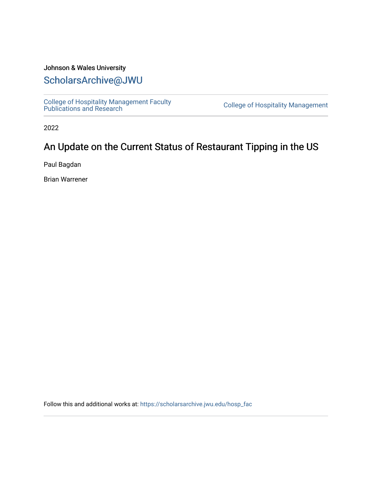#### Johnson & Wales University

#### [ScholarsArchive@JWU](https://scholarsarchive.jwu.edu/)

[College of Hospitality Management Faculty](https://scholarsarchive.jwu.edu/hosp_fac)  College of Hospitality Management<br>Publications and Research

2022

#### An Update on the Current Status of Restaurant Tipping in the US

Paul Bagdan

Brian Warrener

Follow this and additional works at: [https://scholarsarchive.jwu.edu/hosp\\_fac](https://scholarsarchive.jwu.edu/hosp_fac?utm_source=scholarsarchive.jwu.edu%2Fhosp_fac%2F6&utm_medium=PDF&utm_campaign=PDFCoverPages)